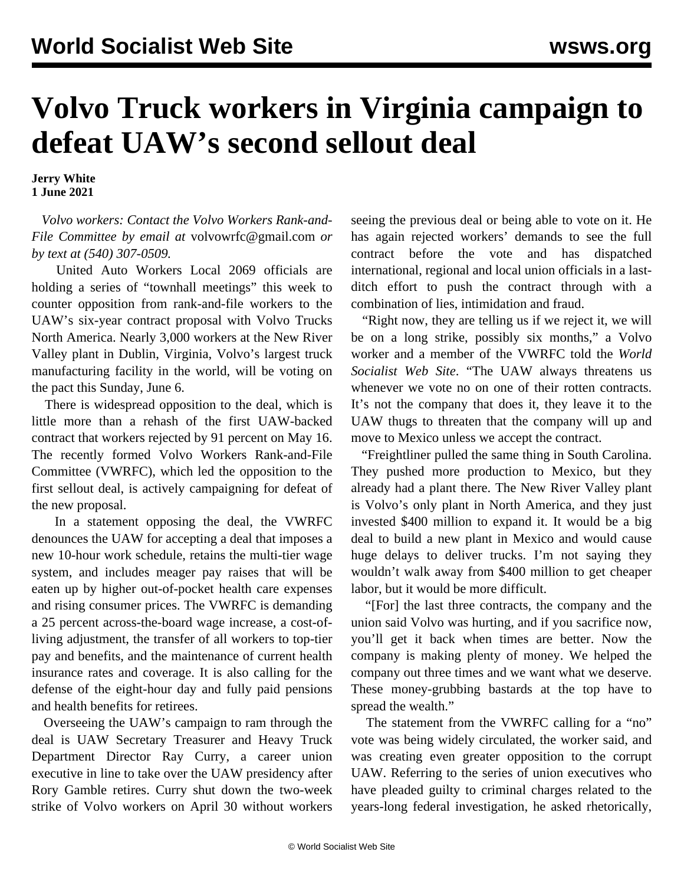## **Volvo Truck workers in Virginia campaign to defeat UAW's second sellout deal**

**Jerry White 1 June 2021**

 *Volvo workers: Contact the Volvo Workers Rank-and-File Committee by email at* [volvowrfc@gmail.com](mailto:volvowrfc@gmail.com) *or by text at (540) 307-0509.*

 United Auto Workers Local 2069 officials are holding a series of "townhall meetings" this week to counter opposition from rank-and-file workers to the UAW's six-year contract proposal with Volvo Trucks North America. Nearly 3,000 workers at the New River Valley plant in Dublin, Virginia, Volvo's largest truck manufacturing facility in the world, will be voting on the pact this Sunday, June 6.

 There is widespread opposition to the deal, which is little more than a rehash of the first UAW-backed contract that workers [rejected](/en/articles/2021/05/17/volv-m17.html) by 91 percent on May 16. The recently formed Volvo Workers Rank-and-File Committee (VWRFC), which led the opposition to the first sellout deal, is actively campaigning for defeat of the new proposal.

 In a [statement](/en/articles/2021/05/29/volv-m29.html) opposing the deal, the VWRFC denounces the UAW for accepting a deal that imposes a new 10-hour work schedule, retains the multi-tier wage system, and includes meager pay raises that will be eaten up by higher out-of-pocket health care expenses and rising consumer prices. The VWRFC is demanding a 25 percent across-the-board wage increase, a cost-ofliving adjustment, the transfer of all workers to top-tier pay and benefits, and the maintenance of current health insurance rates and coverage. It is also calling for the defense of the eight-hour day and fully paid pensions and health benefits for retirees.

 Overseeing the UAW's campaign to ram through the deal is UAW Secretary Treasurer and Heavy Truck Department Director Ray Curry, a career union executive in line to take over the UAW presidency after Rory Gamble retires. Curry shut down the two-week strike of Volvo workers on April 30 without workers seeing the previous deal or being able to vote on it. He has again rejected workers' demands to see the full contract before the vote and has dispatched international, regional and local union officials in a lastditch effort to push the contract through with a combination of lies, intimidation and fraud.

 "Right now, they are telling us if we reject it, we will be on a long strike, possibly six months," a Volvo worker and a member of the VWRFC told the *World Socialist Web Site*. "The UAW always threatens us whenever we vote no on one of their rotten contracts. It's not the company that does it, they leave it to the UAW thugs to threaten that the company will up and move to Mexico unless we accept the contract.

 "Freightliner pulled the same thing in South Carolina. They pushed more production to Mexico, but they already had a plant there. The New River Valley plant is Volvo's only plant in North America, and they just invested \$400 million to expand it. It would be a big deal to build a new plant in Mexico and would cause huge delays to deliver trucks. I'm not saying they wouldn't walk away from \$400 million to get cheaper labor, but it would be more difficult.

 "[For] the last three contracts, the company and the union said Volvo was hurting, and if you sacrifice now, you'll get it back when times are better. Now the company is making plenty of money. We helped the company out three times and we want what we deserve. These money-grubbing bastards at the top have to spread the wealth."

The statement from the VWRFC calling for a "no" vote was being widely circulated, the worker said, and was creating even greater opposition to the corrupt UAW. Referring to the [series of union executives](/en/articles/2021/05/06/pers-m06.html) who have pleaded guilty to criminal charges related to the years-long federal investigation, he asked rhetorically,